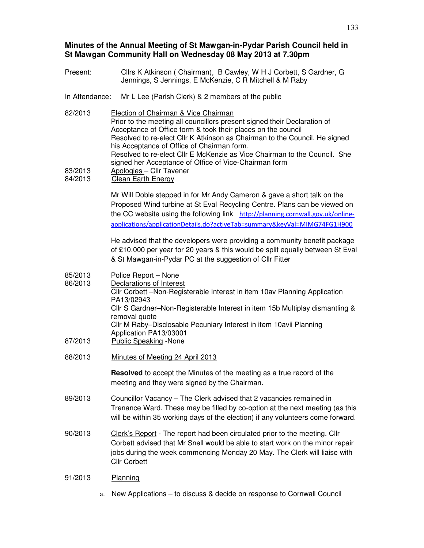# **Minutes of the Annual Meeting of St Mawgan-in-Pydar Parish Council held in St Mawgan Community Hall on Wednesday 08 May 2013 at 7.30pm**

- Present: Cllrs K Atkinson ( Chairman), B Cawley, W H J Corbett, S Gardner, G Jennings, S Jennings, E McKenzie, C R Mitchell & M Raby
- In Attendance: Mr L Lee (Parish Clerk) & 2 members of the public
- 82/2013 Election of Chairman & Vice Chairman Prior to the meeting all councillors present signed their Declaration of Acceptance of Office form & took their places on the council Resolved to re-elect Cllr K Atkinson as Chairman to the Council. He signed his Acceptance of Office of Chairman form. Resolved to re-elect Cllr E McKenzie as Vice Chairman to the Council. She signed her Acceptance of Office of Vice-Chairman form 83/2013 Apologies – Cllr Tavener 84/2013 Clean Earth Energy

Mr Will Doble stepped in for Mr Andy Cameron & gave a short talk on the Proposed Wind turbine at St Eval Recycling Centre. Plans can be viewed on the CC website using the following link http://planning.cornwall.gov.uk/onlineapplications/applicationDetails.do?activeTab=summary&keyVal=MIMG74FG1H900

He advised that the developers were providing a community benefit package of £10,000 per year for 20 years & this would be split equally between St Eval & St Mawgan-in-Pydar PC at the suggestion of Cllr Fitter

- 85/2013 Police Report None 86/2013 Declarations of Interest Cllr Corbett –Non-Registerable Interest in item 10av Planning Application PA13/02943 Cllr S Gardner–Non-Registerable Interest in item 15b Multiplay dismantling & removal quote Cllr M Raby–Disclosable Pecuniary Interest in item 10avii Planning Application PA13/03001 87/2013 Public Speaking -None
- 88/2013 Minutes of Meeting 24 April 2013

**Resolved** to accept the Minutes of the meeting as a true record of the meeting and they were signed by the Chairman.

- 89/2013 Councillor Vacancy The Clerk advised that 2 vacancies remained in Trenance Ward. These may be filled by co-option at the next meeting (as this will be within 35 working days of the election) if any volunteers come forward.
- 90/2013 Clerk's Report The report had been circulated prior to the meeting. Cllr Corbett advised that Mr Snell would be able to start work on the minor repair jobs during the week commencing Monday 20 May. The Clerk will liaise with Cllr Corbett
- 91/2013 Planning
	- a. New Applications to discuss & decide on response to Cornwall Council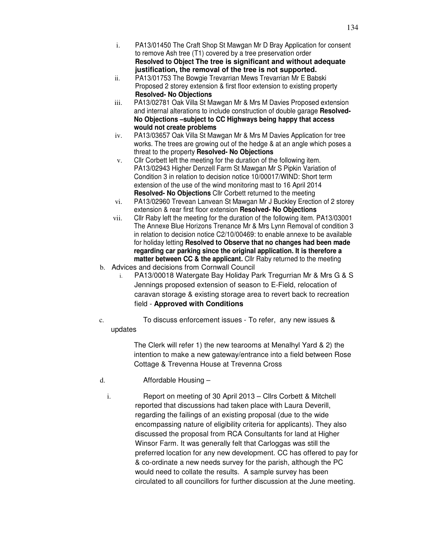- i. PA13/01450 The Craft Shop St Mawgan Mr D Bray Application for consent to remove Ash tree (T1) covered by a tree preservation order **Resolved to Object The tree is significant and without adequate justification, the removal of the tree is not supported.**
- ii. PA13/01753 The Bowgie Trevarrian Mews Trevarrian Mr E Babski Proposed 2 storey extension & first floor extension to existing property **Resolved- No Objections**
- iii. PA13/02781 Oak Villa St Mawgan Mr & Mrs M Davies Proposed extension and internal alterations to include construction of double garage **Resolved-No Objections –subject to CC Highways being happy that access would not create problems**
- iv. PA13/03657 Oak Villa St Mawgan Mr & Mrs M Davies Application for tree works. The trees are growing out of the hedge & at an angle which poses a threat to the property **Resolved- No Objections**
- v. Cllr Corbett left the meeting for the duration of the following item. PA13/02943 Higher Denzell Farm St Mawgan Mr S Pipkin Variation of Condition 3 in relation to decision notice 10/00017/WIND: Short term extension of the use of the wind monitoring mast to 16 April 2014 **Resolved- No Objections** Cllr Corbett returned to the meeting
- vi. PA13/02960 Trevean Lanvean St Mawgan Mr J Buckley Erection of 2 storey extension & rear first floor extension **Resolved- No Objections**
- vii. Cllr Raby left the meeting for the duration of the following item. PA13/03001 The Annexe Blue Horizons Trenance Mr & Mrs Lynn Removal of condition 3 in relation to decision notice C2/10/00469: to enable annexe to be available for holiday letting **Resolved to Observe that no changes had been made regarding car parking since the original application. It is therefore a matter between CC & the applicant.** Cllr Raby returned to the meeting
- b. Advices and decisions from Cornwall Council
	- i. PA13/00018 Watergate Bay Holiday Park Tregurrian Mr & Mrs G & S Jennings proposed extension of season to E-Field, relocation of caravan storage & existing storage area to revert back to recreation field - **Approved with Conditions**
- c. To discuss enforcement issues To refer, any new issues & updates

The Clerk will refer 1) the new tearooms at Menalhyl Yard & 2) the intention to make a new gateway/entrance into a field between Rose Cottage & Trevenna House at Trevenna Cross

- d. Affordable Housing
	- i. Report on meeting of 30 April 2013 Cllrs Corbett & Mitchell reported that discussions had taken place with Laura Deverill, regarding the failings of an existing proposal (due to the wide encompassing nature of eligibility criteria for applicants). They also discussed the proposal from RCA Consultants for land at Higher Winsor Farm. It was generally felt that Carloggas was still the preferred location for any new development. CC has offered to pay for & co-ordinate a new needs survey for the parish, although the PC would need to collate the results. A sample survey has been circulated to all councillors for further discussion at the June meeting.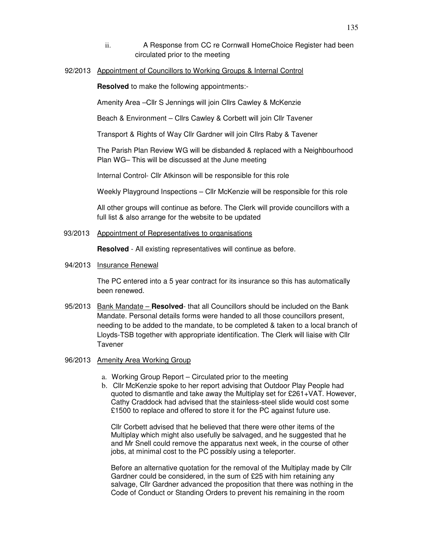- ii. A Response from CC re Cornwall HomeChoice Register had been circulated prior to the meeting
- 92/2013 Appointment of Councillors to Working Groups & Internal Control

**Resolved** to make the following appointments:-

Amenity Area –Cllr S Jennings will join Cllrs Cawley & McKenzie

Beach & Environment – Cllrs Cawley & Corbett will join Cllr Tavener

Transport & Rights of Way Cllr Gardner will join Cllrs Raby & Tavener

The Parish Plan Review WG will be disbanded & replaced with a Neighbourhood Plan WG– This will be discussed at the June meeting

Internal Control- Cllr Atkinson will be responsible for this role

Weekly Playground Inspections – Cllr McKenzie will be responsible for this role

All other groups will continue as before. The Clerk will provide councillors with a full list & also arrange for the website to be updated

#### 93/2013 Appointment of Representatives to organisations

**Resolved** - All existing representatives will continue as before.

### 94/2013 Insurance Renewal

The PC entered into a 5 year contract for its insurance so this has automatically been renewed.

- 95/2013 Bank Mandate **Resolved** that all Councillors should be included on the Bank Mandate. Personal details forms were handed to all those councillors present, needing to be added to the mandate, to be completed & taken to a local branch of Lloyds-TSB together with appropriate identification. The Clerk will liaise with Cllr Tavener
- 96/2013 Amenity Area Working Group
	- a. Working Group Report Circulated prior to the meeting
	- b. Cllr McKenzie spoke to her report advising that Outdoor Play People had quoted to dismantle and take away the Multiplay set for £261+VAT. However, Cathy Craddock had advised that the stainless-steel slide would cost some £1500 to replace and offered to store it for the PC against future use.

Cllr Corbett advised that he believed that there were other items of the Multiplay which might also usefully be salvaged, and he suggested that he and Mr Snell could remove the apparatus next week, in the course of other jobs, at minimal cost to the PC possibly using a teleporter.

Before an alternative quotation for the removal of the Multiplay made by Cllr Gardner could be considered, in the sum of £25 with him retaining any salvage, Cllr Gardner advanced the proposition that there was nothing in the Code of Conduct or Standing Orders to prevent his remaining in the room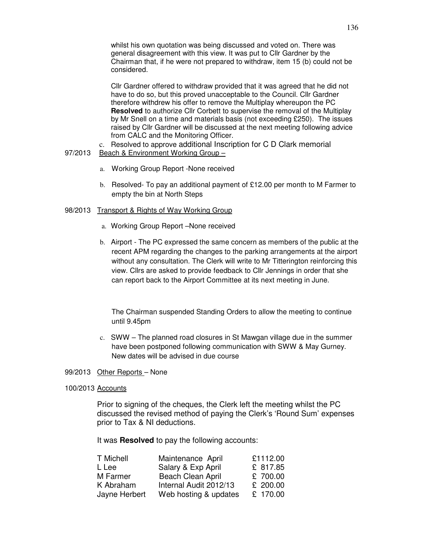whilst his own quotation was being discussed and voted on. There was general disagreement with this view. It was put to Cllr Gardner by the Chairman that, if he were not prepared to withdraw, item 15 (b) could not be considered.

Cllr Gardner offered to withdraw provided that it was agreed that he did not have to do so, but this proved unacceptable to the Council. Cllr Gardner therefore withdrew his offer to remove the Multiplay whereupon the PC **Resolved** to authorize Cllr Corbett to supervise the removal of the Multiplay by Mr Snell on a time and materials basis (not exceeding £250). The issues raised by Cllr Gardner will be discussed at the next meeting following advice from CALC and the Monitoring Officer.

c. Resolved to approve additional Inscription for C D Clark memorial 97/2013 Beach & Environment Working Group –

- a. Working Group Report -None received
- b. Resolved- To pay an additional payment of £12.00 per month to M Farmer to empty the bin at North Steps

### 98/2013 Transport & Rights of Way Working Group

- a. Working Group Report –None received
- b. Airport The PC expressed the same concern as members of the public at the recent APM regarding the changes to the parking arrangements at the airport without any consultation. The Clerk will write to Mr Titterington reinforcing this view. Cllrs are asked to provide feedback to Cllr Jennings in order that she can report back to the Airport Committee at its next meeting in June.

The Chairman suspended Standing Orders to allow the meeting to continue until 9.45pm

c. SWW – The planned road closures in St Mawgan village due in the summer have been postponed following communication with SWW & May Gurney. New dates will be advised in due course

99/2013 Other Reports – None

#### 100/2013 Accounts

Prior to signing of the cheques, the Clerk left the meeting whilst the PC discussed the revised method of paying the Clerk's 'Round Sum' expenses prior to Tax & NI deductions.

It was **Resolved** to pay the following accounts:

| T Michell     | Maintenance April      | £1112.00 |
|---------------|------------------------|----------|
| L Lee         | Salary & Exp April     | £ 817.85 |
| M Farmer      | Beach Clean April      | £ 700.00 |
| K Abraham     | Internal Audit 2012/13 | £ 200.00 |
| Jayne Herbert | Web hosting & updates  | £ 170.00 |